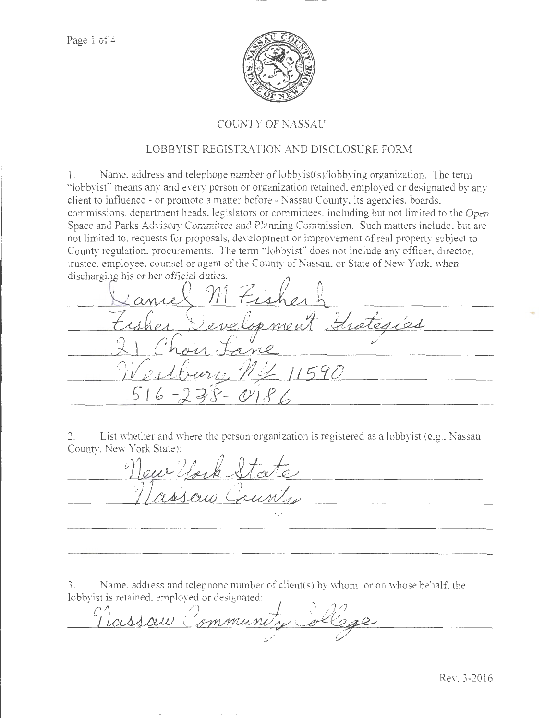

# COUNTY OF NASSAU

# LOBBYIST REGISTRATION AND DISCLOSURE FORM

1. Name. address and telephone number of lobbyist(s)/lobbying organization. The tem1 ··lobbyist"' means any and ewry person or organization retained, employed or designated by any client to influence- or promote a matter before- Nassau County, its agencies. boards, commissions. department heads. legislators or committees. including but not limited to the Open Space and Parks Advisory Committee and Planning Commission. Such matters include, but are not limited to, requests for proposals, development or improvement of real property subject to County regulation. procurements. The term "lobbyist" does not include any officer, director, trustee, employee, counsel or agent of the County of Nassau, or State of New York, when

discharging his or her official duties.<br>
<u>Cance</u> MEi  $41590$  $S - O186$ 5

2. List whether and where the person/organization is registered as a lobbyist (e.g., Nassau County, New York State):

aux fort &  $\omega$  and the contract of  $\omega$ Saw Coun

3. Name, address and telephone number of client(s) by whom. or on whose behalf, the

lobbyist is retained. employed or designated: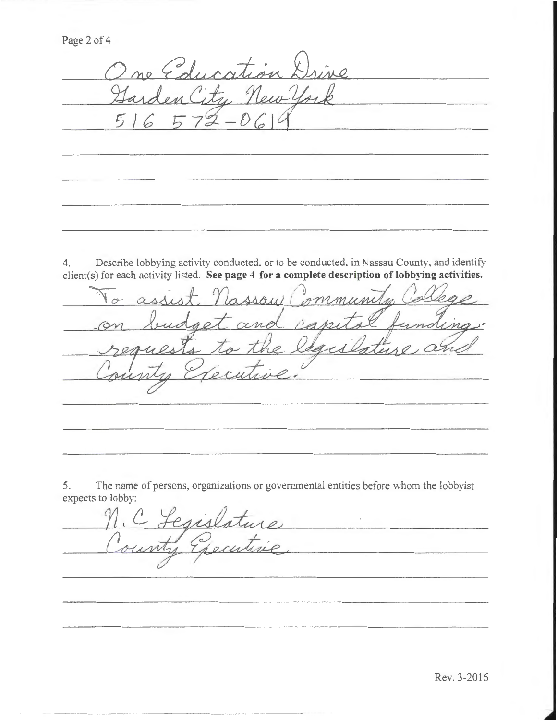Page 2 of 4

 $2$ ne Education Drive u New Yor Len

4. Describe lobbying activity conducted, or to be conducted, in Nassau County, and identify

client(s) for each activity listed. See page 4 for a complete description of lobbying activities.<br>No assist nassau Community College get and ighi uno  $20 1110$ ocus

5. The name of persons, organizations or governmental entities before whom the lobbyist expects to lobby:

egislature <u> Andreas Andreas and American Andreas Andreas Andreas and American Andreas Andreas Andreas Andreas Andreas And</u>

Rev. 3-2016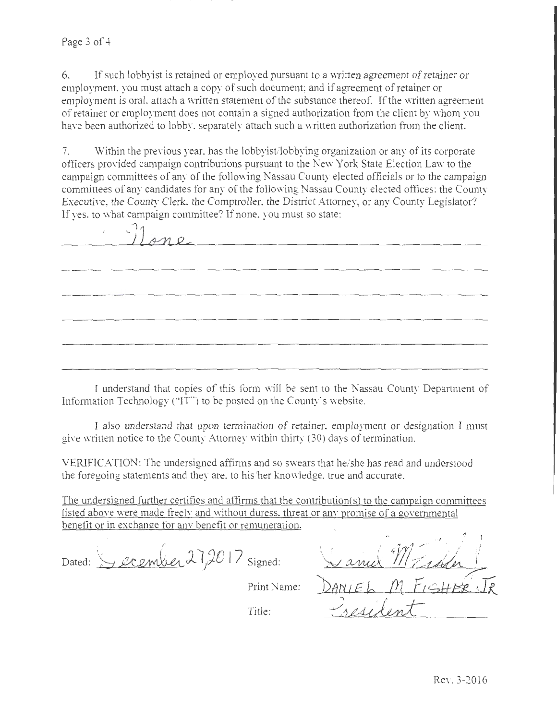# Page 3 of 4

6. If such lobbyist is retained or employed pursuant to a written agreement of retainer or employment. you must attach a copy of such document; and if agreement of retainer or employment is oral, attach a written statement of the substance thereof. If the written agreement of retainer or employment does not contain a signed authorization from the client by whom you have been authorized to lobby. separately attach such a written authorization from the client.

7 \_ Within the previous year. has the lobbyist/lobbying organization or any of its corporate officers provided campaign contributions pursuant to the New York State Election Law· to the campaign committees of any of the following Nassau County elected officials or to the campaign committees of any candidates for any of the following Nassau County elected offices: the County Executive, the County Clerk. the Comptroller. the District Attorney, or any County Legislator? If yes, to what campaign committee? If none, you must so state:

| Mone |  |  |
|------|--|--|
|      |  |  |
|      |  |  |
|      |  |  |
|      |  |  |
|      |  |  |

I understand that copies of this form will be sent to the Nassau County Department of Information Technology ("IT") to be posted on the County's website.

I also understand that upon termination of retainer, employment or designation I must give written notice to the County Attorney within thirty (30) days of termination.

VERIFICATION: The undersigned affirms and so swears that he/she has read and understood the foregoing statements and they are, to his/her knowledge, true and accurate.

The undersigned further certifies and affirms that the contribution( $s$ ) to the campaign committees listed above were made freely and without duress, threat or any promise of a governmental benefit or in exchange for any benefit or remuneration.

Dated: Secember 27,2017 Signed: Print Name: Title: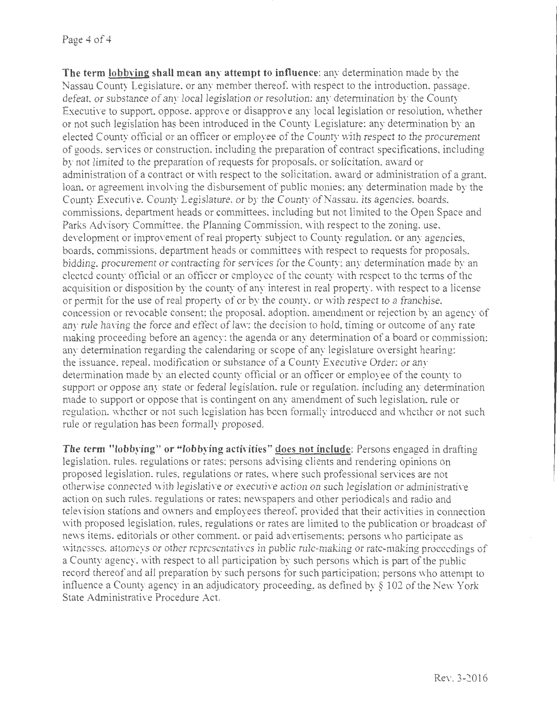## Page 4 of 4

**The term lobbving shall mean any attempt to influence:** any determination made by the Nassau County Legislature. or any member thereof. with respect to the introduction, passage. defeat, or substance of any local legislation or resolution: any determination by the County Executive to support, oppose, approve or disapprove any local legislation or resolution, whether or not such legislation bas been introduced in the County Legislature; any determination by an elected County official or an officer or employee of the County with respect to the procurement of goods, services or construction, including the preparation of contract specifications. including by not limited to the preparation of requests for proposals, or solicitation. award or administration of a contract or with respect to the solicitation. award or administration of a grant. loan, or agreement involving the disbursement of public monies; any determination made by the County Executive, County Legislature, or by the County of Nassau, its agencies, boards, commissions, department heads or committees, including but not limited to the Open Space and Parks Advisory Committee. the Planning Commission, with respect to the zoning, use, development or improvement of real property subject to County regulation, or any agencies. boards, commissions, department heads or committees with respect to requests for proposals. bidding. procurement or contracting for services for the County; any determination made by an elected county official or an officer or employee of the county with respect to the terms of the acquisition or disposition by the county of any interest in real property, with respect to a license or permit for the use of real property of or by the county. or with respect to a franchise. concession or revocable consent; the proposal. adoption. amendment or rejection by an agency of any rule having the force and effect of law: the decision to hold, timing or outcome of any rate making proceeding before an agency; the agenda or any determination of a board or commission; any determination regarding the calendaring or scope of any legislature oversight hearing: the issuance. repeal. modification or substance of a County Executive Order: or any determination made by an elected county official or an officer or employee of the county to support or oppose any state or federal legislation, rule or regulation, including any determination made to support or oppose that is contingent on any amendment of such legislation, rule or regulation, whether or not such legislation has been formally introduced and whether or not such rule or regulation has been formally proposed.

**The term "lobbying" or "lobbying activities" does not include:** Persons engaged in drafting legislation, rules, regulations or rates; persons advising clients and rendering opinions on proposed legislation, rules. regulations or rates. where such professional services are not otherwise connected with legislative or executive action on such legislation or administrative action on such rules. regulations or rates: newspapers and other periodicals and radio and television stations and owners and employees thereof, provided that their activities in connection with proposed legislation, rules, regulations or rates are limited to the publication or broadcast of news items, editorials or other comment. or paid advertisements: persons who participate as witnesses. attorneys or other representatives in public rule-making or rate-making proceedings of a County agency, with respect to all participation by such persons which is part of the public record thereof and all preparation by such persons for such participation; persons who attempt to influence a County agency in an adjudicatory proceeding, as defined by§ 102 of the New York State Administrative Procedure Act.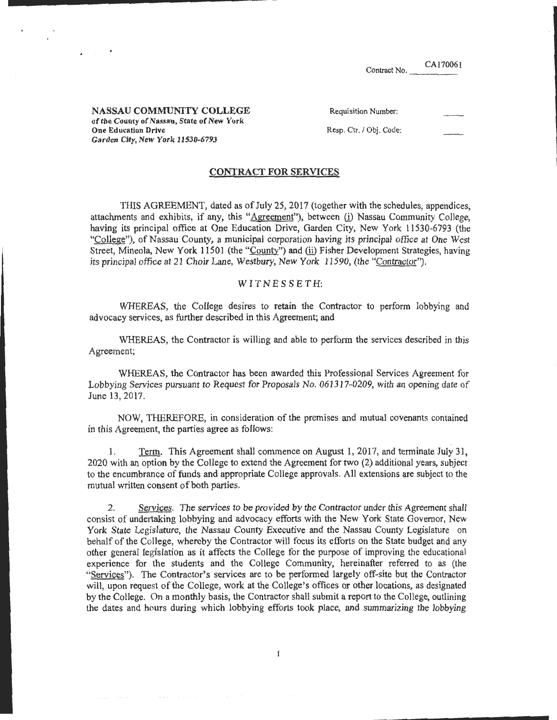CA170061

\_\_\_\_\_\_\_\_\_\_\_\_ .......

NASSAU COMMUNITY COLLEGE of the County of Nassau, State of New York One Education Drive Garden City, New York 11530-6793

Requisition Number:

Resp. Ctr. / Obj. Code:

## CONTRACT FOR SERVICES

THIS AGREEMENT, dated as of July 25, 2017 (together with the schedules, appendices, attachments and exhibits, if any, this "Agreement"), between (i) Nassau Community College, having its principal office at One Education Drive, Garden City, New York 11530-6793 (the "College"), of Nassau County, a municipal corporation having its principal office at One West Street, Mineola, New York 11501 (the "County") and (ii) Fisher Development Strategies, having its principal office at 21 Choir Lane, Westbury, New York 11590, (the "Contractor").

## W IT N E S SETH:

WHEREAS, the College desires to retain the Contractor to perform lobbying and advocacy services, as further described in this Agreement; and

WHEREAS, the Contractor is willing and able to perform the services described in this Agreement;

WHEREAS, the Contractor has been awarded this Professional Services Agreement for Lobbying Services pursuant to Request for Proposals No. 061317-0209, with an opening date of June 13,2017.

NOW, THEREFORE, in consideration of the premises and mutual covenants contained in this Agreement, the parties agree as follows:

I. Term. This Agreement shall commence on August I, 2017, and terminate July 31, 2020 with an option by the College to extend the Agreement for two (2) additional years, subject to the encumbrance of funds and appropriate College approvals. All extensions are subject to the mutual written consent of both parties.

2. Services. The services to be provided by the Contractor under this Agreement shall consist of undertaking lobbying and advocacy efforts with the New York State Governor, New York State Legislature, the Nassau County Executive and the Nassau County Legislature on behalf of the College, whereby the Contractor will focus its efforts on the State budget and any other general legislation as it affects the College for the purpose of improving the educational experience for the students and the College Community, hereinafter referred to as (the "Services"). The Contractor's services are to be performed largely off-site but the Contractor will, upon request of the College, work at the College's offices or other locations, as designated by the College. On a monthly basis, the Contractor shall submit a report to the College, outlining the dates and hours during which lobbying efforts took place, and summarizing the lobbying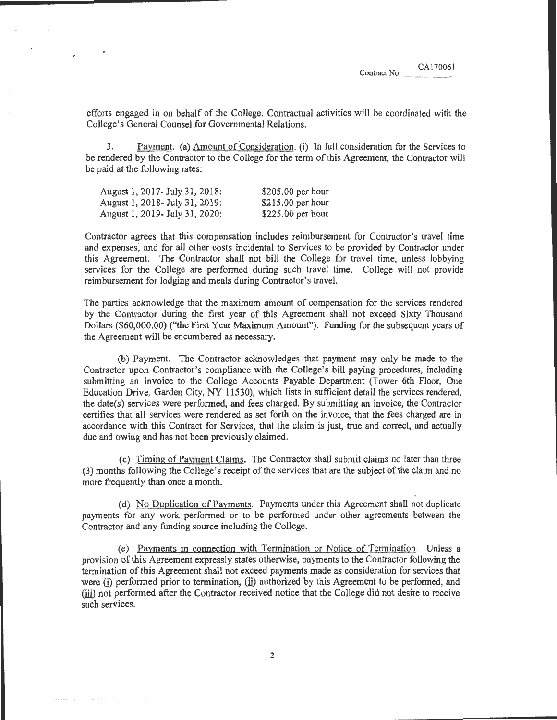efforts engaged in on behalf of the Co1lege. Contractual activities will be coordinated with the College's General Counsel for Governmental Relations.

3. Payment. (a) Amount of Consideration. (i) In full consideration for the Services to be rendered by the Contractor to the College for the term of this Agreement, the Contractor will be paid at the following rates:

| August 1, 2017- July 31, 2018:  | $$205.00$ per hour |
|---------------------------------|--------------------|
| August 1, 2018 - July 31, 2019: | $$215.00$ per hour |
| August 1, 2019 - July 31, 2020: | $$225.00$ per hour |

Contractor agrees that this compensation includes reimbursement for Contractor's travel time and expenses, and for all other costs incidental to Services to be provided by Contractor under this Agreement. The Contractor shall not bill the College for travel time, unless lobbying services for the College are performed during such travel time. College will not provide reimbursement for lodging and meals during Contractor's travel.

The parties acknowledge that the maximum amount of compensation for the services rendered by the Contractor during the first year of this Agreement shall not exceed Sixty Thousand Dollars (\$60,000.00) (''the First Year Maximum Amount''). Funding for the subsequent years of the Agreement will be encumbered as necessary.

(b) Payment. The Contractor acknowledges that payment may only be made to the Contractor upon Contractor's compliance with the College's bill paying procedures, including submitting an invoice to the College Accounts Payable Department (Tower 6th Floor, One Education Drive, Garden City, NY 11530), which lists in sufficient detail the services rendered, the date(s) services were performed, and fees charged. By submitting an invoice, the Contractor certifies that all services were rendered as set forth on the invoice, that the fees charged are in accordance with this Contract for Services, that the claim is just, true and correct, and actually due and owing and has not been previously claimed.

(c) Timing of Payment Claims. The Contractor shall submit claims no later than three (3) months following the College's receipt of the services that are the subject of the claim and no more frequently than once a month.

(d) No Duplication of Payments. Payments under this Agreement shall not duplicate payments for any work performed or to be performed under other agreements between the Contractor and any funding source including the College.

(e) Payments in connection with Termination or Notice of Termination. Unless a provision of this Agreement expressly states otherwise, payments to the Contractor following the termination of this Agreement shall not exceed payments made as consideration for services that were (i) performed prior to termination, (ii) authorized by this Agreement to be performed, and (iii) not performed after the Contractor received notice that the College did not desire to receive such services.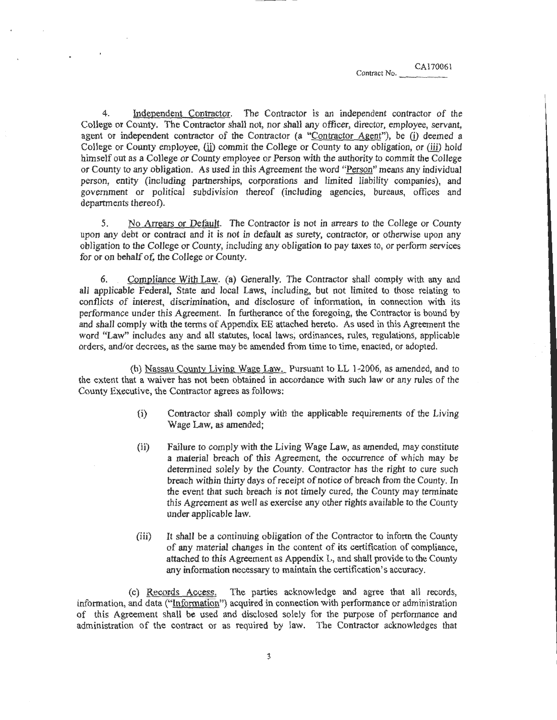Independent Contractor. The Contractor is an independent contractor of the College or County. The Contractor shall not, nor shall any officer, director, employee, servant, agent or independent contractor of the Contractor (a "Contractor Agent"), be (i) deemed a College or County employee, (ii) commit the College or County to any obligation, or (iii) hold himself out as a College or County employee or Person with the authority to commit the College or County to any obligation. As used in this Agreement the word "Person" means any individual person, entity (including partnerships, corporations and limited liability companies), and government or political subdivision thereof (including agencies, bureaus, offices and departments thereof).

*5.* No Arrears or Default. The Contractor is not in arrears to the College or County upon any debt or contract and it is not in default as surety, contractor, or otherwise upon any obligation to the College or County, including any obligation to pay taxes to, or perform services for or on behalf of, the College or County.

6. Compliance With Law. (a) Generally. The Contractor shall comply with any and all applicable Federal, State and local Laws, including, but not limited to those relating to conflicts of interest, discrimination, and disclosure of information, in connection with its performance under this Agreement. In furtherance of the foregoing, the Contractor is bound by and shall comply with the terms of Appendix EE attached hereto. As used in this Agreement the word "Law" includes any and all statutes, local laws, ordinances, rules, regulations, applicable orders, and/or decrees, as the same may be amended from time to time, enacted, or adopted.

(b) Nassau County Living Wage Law. Pursuant to LL 1-2006, as amended, and to the extent that a waiver has not been obtained in accordance with such law or any rules of the County Executive, the Contractor agrees as follows:

- (i) Contractor shall comply with the applicable requirements of the Living Wage Law, as amended;
- (ii) Failure to comply with the Living Wage Law, as amended, may constitute a material breach of this Agreement, the occurrence of which may be determined solely by the County. Contractor has the right to cure such breach within thirty days of receipt of notice of breach from the County. In the event that such breach is not timely cured, the County may terminate this Agreement as well as exercise any other rights available to the County under applicable law.
- (iii) It shaH be a continuing obligation of the Contractor to inform the County of any material changes in the content of its certification of compliance, attached to this Agreement as Appendix L, and shall provide to the County any information necessary to maintain the certification's accuracy.

(c) Records Access. The parties acknowledge and agree that all records, information, and data ("Information") acquired in connection with performance or administration of this Agreement shall be used and disclosed solely for the purpose of performance and administration of the contract or as required by Jaw. The Contractor acknowledges that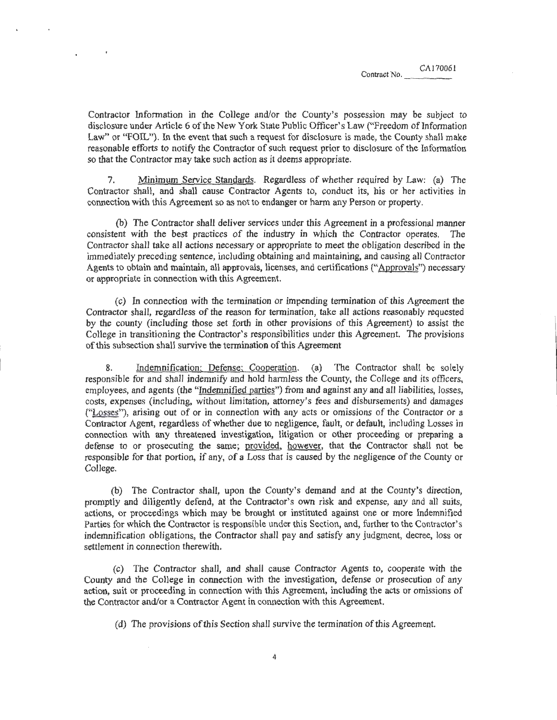CA170061

Contractor Information in the College and/or the County's possession may be subject to disclosure under Article 6 of the New York State Public Officer's Law ("Freedom of Information Law" or "FOIL"). In the event that such a request for disclosure is made, the County shall make reasonable efforts to notify the Contractor of such request prior to disclosure of the Information so that the Contractor may take such action as it deems appropriate.

7. Minimum Service Standards. Regardless of whether required by Law: (a) The Contractor shall, and shall cause Contractor Agents to, conduct its, his or her activities in connection with this Agreement *so* as not to endanger or harm any Person or property.

(b) The Contractor shall deliver services under this Agreement in a professional manner consistent with the best practices of the industry in which the Contractor operates. The Contractor shall take all actions necessary or appropriate to meet the obligation described in the immediately preceding sentence, including obtaining and maintaining, and causing all Contractor Agents to obtain and maintain, all approvals, licenses, and certifications ("Approvals") necessary or appropriate in connection with this Agreement.

(c) In connection with the termination or impending termination of this Agreement the Contractor shall, regardless of the reason for termination, take all actions reasonably requested by the county (including those set forth in other provisions of this Agreement) to assist the College in transitioning the Contractor's responsibilities under this Agreement. The provisions of this subsection shall survive the termination of this Agreement

8. Indemnification; Defense; Cooperation. (a) The Contractor shall be solely responsible for and shall indemnify and hold harmless the County, the College and its officers, employees, and agents (the "Indemnified parties") from and against any and all liabilities, losses, costs, expenses (including, without limitation, attorney's fees and disbursements) and damages ("Losses"), arising out of or in connection with any acts or omissions of the Contractor or a Contractor Agent, regardless of whether due to negligence, fault, or default, including Losses in connection with any threatened investigation, litigation or other proceeding or preparing a defense to or prosecuting the same; provided, however, that the Contractor shall not be responsible for that portion, if any, of a Loss that is caused by the negligence of the County or College.

(b) The Contractor shall, upon the County's demand and at the County's direction, promptly and diligently defend, at the Contractor's own risk and expense, any and all suits, actions, or proceedings which may be brought or instituted against one or more Indemnified Parties for which the Contractor is responsible under this Section, and, further to the Contractor's indemnification obligations, the Contractor shall pay and satisfy any judgment, decree, loss or settlement in connection therewith.

(c) The Contractor shall, and shall cause Contractor Agents to, cooperate with the County and the College in connection with the investigation, defense or prosecution of any action, suit or proceeding in connection with this Agreement, including the acts or omissions of the Contractor and/or a Contractor Agent in connection with this Agreement.

(d) The provisions of this Section shall survive the termination of this Agreement.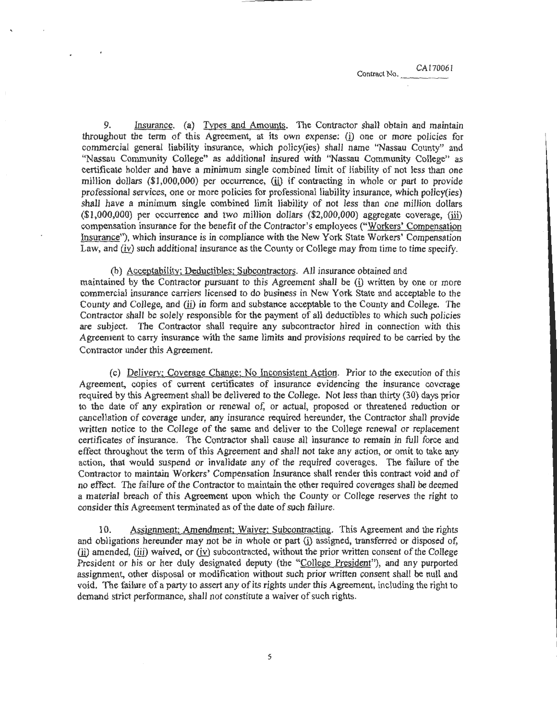9. Insurance. (a) Types and Amounts. The Contractor shall obtain and maintain throughout the term of this Agreement, at its own expense: (i) one or more policies for commercial general liability insurance, which policy(ies) shall name "Nassau County'' and "Nassau Community College" as additional insured with ''Nassau Community College" as certificate holder and have a minimum single combined limit of liability of not less than one million dollars  $(\$1,000,000)$  per occurrence, (ii) if contracting in whole or part to provide professional services, one or more policies for professional liability insurance, which policy(ies) shall have a minimum single combined limit liability of not less than one million dollars  $(1,000,000)$  per occurrence and two million dollars  $(2,000,000)$  aggregate coverage, (iii) compensation insurance for the benefit of the Contractor's employees ("Workers' Compensation Insurance"), which insurance is in compliance with the New York State Workers' Compensation Law, and (iv) such additional insurance as the County or College may from time to time specify.

(b) Acceptability; Deductibles; Subcontractors. All insurance obtained and maintained by the Contractor pursuant to this Agreement shall be (i) written by one or more commercial insurance carriers licensed to do business in New York State and acceptable to the County and College, and (ii) in form and substance acceptable to the County and College. The Contractor shall be solely responsible for the payment of all deductibles to which such policies are subject. The Contractor shall require any subcontractor hired in connection with this Agreement to carry insurance with the same limits and provisions required to be carried by the Contractor under this Agreement.

(c) Deliverv; Coverage Change: No Inconsistent Action. Prior to the execution of this Agreement, copies of current certificates of insurance evidencing the insurance coverage required by this Agreement shall be delivered to the College. Not less than thirty (30) days prior to the date of any expiration or renewal of, or actual, proposed or threatened reduction or cancellation of coverage under, any insurance required hereunder, the Contractor shall provide written notice to the College of the same and deliver to the College renewal or replacement certificates of insurance. The Contractor shall cause all insurance to remain in full force and effect throughout the term of this Agreement and shall not take any action, or omit to take any action, that would suspend or invalidate any of the required coverages. The failure of the Contractor to maintain Workers' Compensation Insurance shall render this contract void and of no effect. The failure of the Contractor to maintain the other required coverages shall be deemed a material breach of this Agreement upon which the County or College reserves the right to consider this Agreement terminated as of the date of such failure.

10. Assignment; Amendment: Waiver: Subcontracting. This Agreement and the rights and obligations hereunder may not be in whole or part (i) assigned, transferred or disposed of, (ii) amended, (iii) waived, or (iv) subcontracted, without the prior written consent of the College President or his or her duly designated deputy (the "College President"), and any purported assignment, other disposal or modification without such prior written consent shall be null and void. The failure of a party to assert any of its rights under this Agreement, including the right to demand strict performance, shall not constitute a waiver of such rights.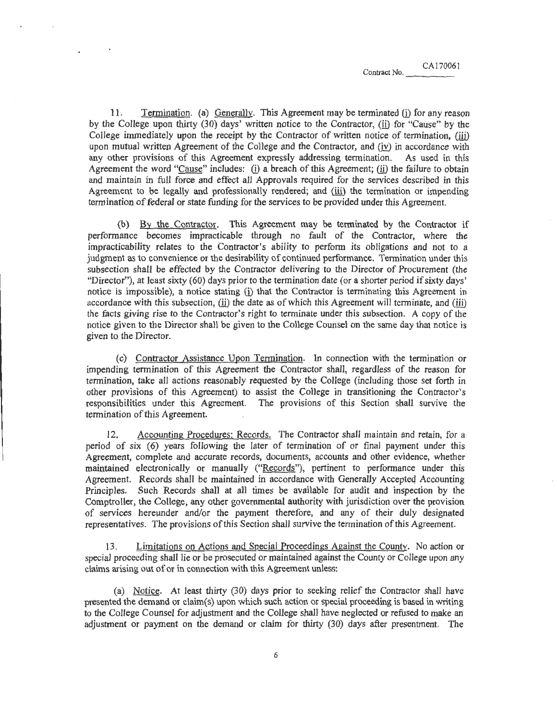11. Termination. (a) Generally. This Agreement may be terminated (i) for any reason by the College upon thirty (30) days' written notice to the Contractor, (ii) for "Cause" by the College immediately upon the receipt by the Contractor of written notice of termination, (iii) upon mutual written Agreement of the College and the Contractor, and  $(iv)$  in accordance with any other provisions of this Agreement expressly addressing termination. As used in this Agreement the word "Cause" includes: (i) a breach of this Agreement; (ii) the failure to obtain and maintain in full force and effect all Approvals required for the services described in this Agreement to be legally and professionally rendered; and (iii) the termination or impending termination of federal or state funding for the services to be provided under this Agreement.

(b) By the Contractor. This Agreement may be terminated by the Contractor if performance becomes impracticable through no fault of the Contractor, where the impracticability relates to the Contractor's ability to perform its obligations and not to a judgment as to convenience or the desirability of continued performance. Termination under this subsection shall be effected by the Contractor delivering to the Director of Procurement (the "Director''), at least sixty (60) days prior to the termination date (or a shorter period if sixty days' notice is impossible), a notice stating (i) that the Contractor is terminating this Agreement in accordance with this subsection, (ii) the date as of which this Agreement will terminate, and (iii) the facts giving rise to the Contractor's right to terminate under this subsection. A copy of the notice given to the Director shall be given to the College Counsel on the same day that notice is given to the Director.

(c) Contractor Assistance Upon Termination. In connection with the termination or impending termination of this Agreement the Contractor shall, regardless of the reason for termination, take all actions reasonably requested by the College (including those set forth in other provisions of this Agreement) to assist the College in transitioning the Contractor's responsibilities under this Agreement. The provisions of this Section shall survive the termination of this Agreement.

12. Accounting Procedures; Records. The Contractor shall maintain and retain, for a period of six (6) years following the later of termination of or fmal payment under this Agreement, complete and accurate records, documents, accounts and other evidence, whether maintained electronically or manually ("Records"), pertinent to performance under this Agreement. Records shall be maintained in accordance with Generally Accepteq Accounting Principles. Such Records shall at all times be available for audit and inspection by the Comptroller, the College, any other governmental authority with jurisdiction over the provision of services hereunder and/or the payment therefore, and any of their duly designated representatives. The provisions of this Section shall survive the termination ofthis Agreement.

13. Limitations on Actions and Special Proceedings Against the County. No action or special proceeding shall lie or be prosecuted or maintained against the County or College upon any claims arising out of or in connection with this Agreement unless:

(a) Notice. At least thirty  $(30)$  days prior to seeking relief the Contractor shall have presented the demand or claim(s) upon which such action or special proceeding is based in writing to the College Counsel for adjustment and the College shall have neglected or refused to make an adjustment or payment on the demand or claim for thirty (30) days after presentment. The

6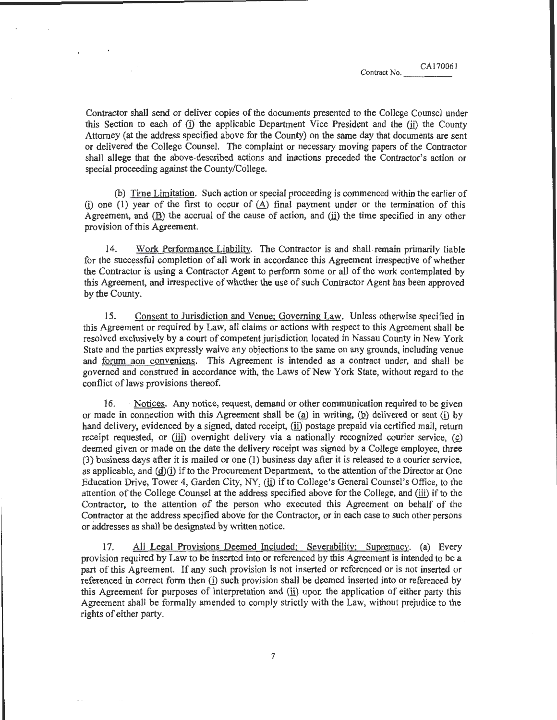Contractor shall send or deliver copies of the docwnents presented to the College Counsel under this Section to each of (i) the applicable Department Vice President and the (ii) the County Attorney (at the address specified above for the County) on the same day that documents are sent or delivered the College Counsel. The complaint or necessary moving papers of the Contractor shall allege that the above-described actions and inactions preceded the Contractor's action or special proceeding against the County/College.

(b) Time Limitation. Such action or special proceeding is commenced within the earlier of (i) one (1) year of the first to occur of  $(A)$  final payment under or the termination of this Agreement, and  $(\underline{B})$  the accrual of the cause of action, and  $(i)$  the time specified in any other provision of this Agreement.

14. Work Performance Liability. The Contractor is and shall remain primarily liable for the successful completion of all work in accordance this Agreement irrespective of whether the Contractor is using a Contractor Agent to perform some or all of the work contemplated by this Agreement, and irrespective of whether the use of such Contractor Agent has been approved by the County.

15. Consent to Jurisdiction and Venue: Governing Law. Unless otherwise specified in this Agreement or required by Law, all claims or actions with respect to this Agreement shall be resolved exclusively by a court of competent jurisdiction located in Nassau County in New York State and the parties expressly waive any objections to the same on any grounds, including venue and forum non conveniens. This Agreement is intended as a contract under, and shall be governed and construed in accordance with, the Laws of New York State, without regard to the conflict of laws provisions thereof.

16. Notices. Any notice, request, demand or other communication required to be given or made in connection with this Agreement shall be  $(a)$  in writing,  $(b)$  delivered or sent (i) by hand delivery, evidenced by a signed, dated receipt, (ii) postage prepaid via certified mail, return receipt requested, or (iii) overnight delivery via a nationally recognized courier service,  $(c)$ deemed given or made on the date the delivery receipt was signed by a College employee, three (3) business days after it is mailed or one (I) business day after it is released to a courier service, as applicable, and  $(d)(i)$  if to the Procurement Department, to the attention of the Director at One Education Drive, Tower 4, Garden City, NY, (ii) if to College's General Counsel's Office, to the attention of the College Counsel at the address specified above for the College, and (iii) if to the Contractor, to the attention of the person who executed this Agreement on behalf of the Contractor at the address specified above for the Contractor, or in each case to such other persons or addresses as shall be designated by written notice.

17. All Legal Provisions Deemed Included; Severability; Supremacy. (a) Every provision required by Law to be inserted into or referenced by this Agreement is intended to be a part of this Agreement. If any such provision is not inserted or referenced or is not inserted or referenced in correct form then (i) such provision shall be deemed inserted into or referenced by this Agreement for purposes of interpretation and (ii) upon the application of either party this Agreement shall be formally amended to comply strictly with the Law, without prejudice to the rights of either party.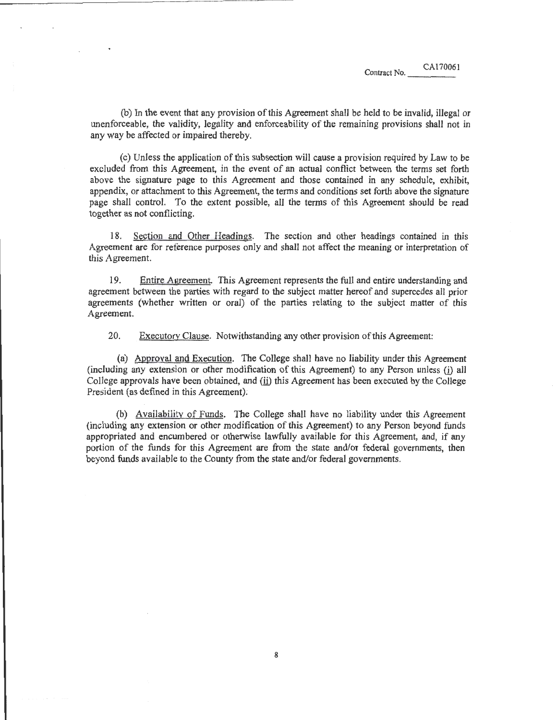(b) In the event that any provision of this Agreement shall be held to be invalid, illegal or unenforceable, the validity, legality and enforceability of the remaining provisions shall not in any way be affected or impaired thereby.

(c) Unless the application of this subsection will cause a provision required by Law to be excluded from this Agreement, in the event of an actual conflict between the terms set forth above the signature page to this Agreement and those contained in any schedule, exhibit, appendix, or attachment to this Agreement, the terms and conditions set forth above the signature page shall control. To the extent possible, all the terms of this Agreement should be read together as not conflicting.

18. Section and Other Headings. The section and other headings contained in this Agreement are for reference purposes only and shall not affect the meaning or interpretation of this Agreement.

19. Entire Agreement. This Agreement represents the full and entire understanding and agreement between the parties with regard to the subject matter hereof and supercedes all prior agreements (whether written or oral) of the parties relating to the subject matter of this Agreement.

20. Executory Clause. Notwithstanding any other provision of this Agreement:

(a) Approval and Execution. The College shall have no liability under this Agreement (including any extension or other modification of this Agreement) to any Person unless  $(i)$  all College approvals have been obtained, and (ii) this Agreement has been executed by the College President (as defined in this Agreement);

(b) Availability of Funds. The College shall have no liability under this Agreement (including any extension or other modification of this Agreement) to any Person beyond funds appropriated and encumbered or otherwise lawfully available for this Agreement, and, if any portion of the funds for this Agreement are from the state and/or federal governments, then beyond funds available to the County from the state and/or federal governments.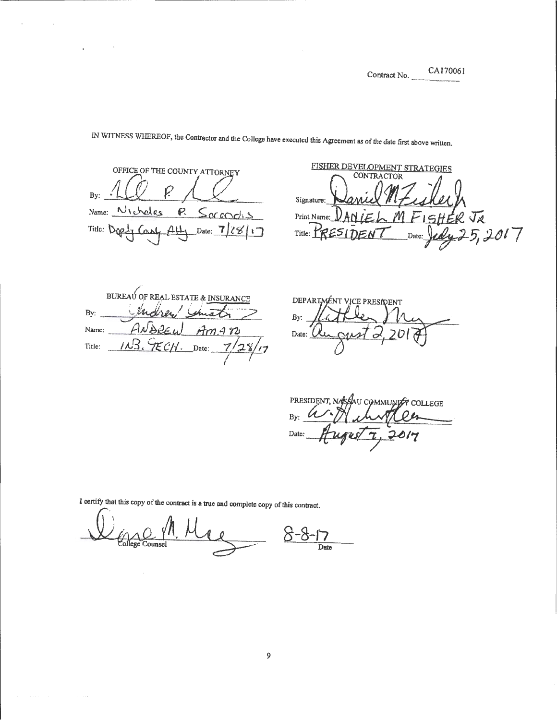CA170061

OFFICE OF THE COUNTY ATTORNEY<br>By: <u>1(iii)</u>  $\beta$  $Name: N_{te}$ heles  $R$  Serendis Title: Dep<sub>1</sub> Can4 AH, Date: 7/28/17

FISHER DEVELOPMENT STRATEGIES **CONTRACTOR** Signature: FISHER Print Name: V  $\mathcal M$  $\sqrt{\varkappa}$ 5,2017 Title: K Date:

BUREAU OF REAL ESTATE & INSURANCE  $By:$ Name: Title:

DEPARTMENT VICE PRESIDENT By:  $\frac{1}{\sqrt{2}}$ Date:  $\Omega$ 

PRESIDENT, NASSAU COMMUNIST COLLEGE Date: 017

I certifY that this copy of the contract is a true and complete copy of this contract.

 $Q_{\text{course1}}$ <sup>11</sup>, Me Date

IN WITNESS WHEREOF, the Contractor and the College have executed this Agreement as of the date first above written.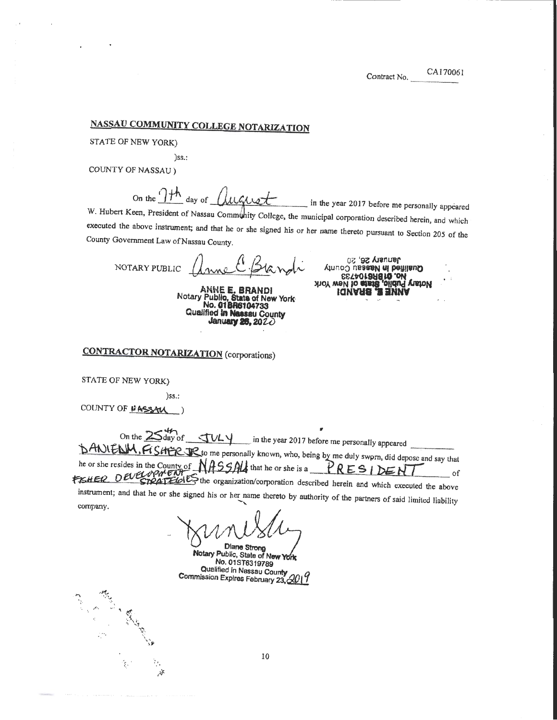# NASSAU COMMUNITY COLLEGE NOTARIZATION

STATE OF NEW YORK)

)ss.:

COUNTY OF NASSAU)

On the  $7<sup>th</sup>$ day of Clucker

in the year 2017 before me personally appeared W. Hubert Keen, President of Nassau Community College, the municipal corporation described herein, and which executed the above instrument; and that he or she signed his or her name thereto pursuant to Section 205 of the County Government Law of Nassau County.

NOTARY PUBLIC *Anne C* Blandi

ANNE E. BRANDl Notary Public, State of New York<br>No. 01BR6104733 Qualified in Nassau County Januaay 28, *20Z.O* 

January 26, 20 **SUINARE & SHAMA**<br>Not and in order of the state of New York<br>STAD in the state of the state of the state of the state of the state of the state of the state of the state of the state of the state of the state of the state o

# CONTRACTOR NOTARIZATION (corporations)

STATE OF NEW YORK)

 $\sim$  ,  $\sim$ 

 $\mathbf{u}'$ 

.. . •

)ss.:

COUNTY OF NASSAU

On the  $25^{4/7}$ <br>
sin the year 2017 before me personally appeared  $\frac{1}{2}$ hANIFNM, FISHER TR to me personally known, who, being by me duly swprn, did depose and say that he or she resides in the County of  $NASSM$  that he or she is a  $PRESIDEN$ the *Chief Chief Chief the organization/corporation* described herein and which executed the above

instrument; and that he or she signed his or her name thereto by authority of the partners of said limited liability company.

Diane Strong<br>Notary Public, State of New York<br>No. 01ST6319789 Qualified in Nassau County Commission Expires February 23,  $\triangle$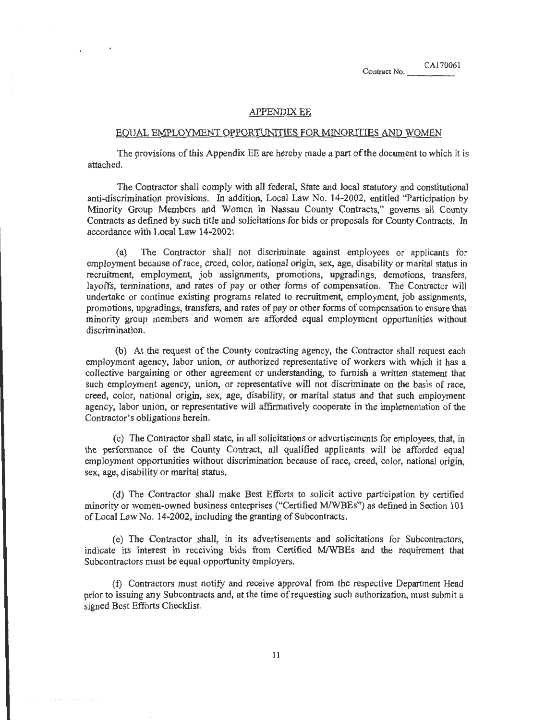### APPENDIX EE

#### .EQUAL EMPLOYMENT OPPORTUNITIES FOR MINORITIES AND WOMEN

The provisions of this Appendix EE are hereby made a part of the document to which it is attached.

The Contractor shall comply with all federal, State and local statutory and constitutional anti-discrimination provisions. In addition, Local Law No. 14-2002, entitled "Participation by Minority Group Members and Women in Nassau County Contracts," governs all County Contracts as defmed by such title and solicitations for bids or proposals for County Contracts. In accordance with Local Law 14-2002:

(a) The Contractor shall not discriminate against employees or applicants for employment because of race, creed, color, national origin, sex, age, disability or marital status in recruitment, employment, job assignments, promotions, upgradings, demotions, transfers, layoffs, terminations, and rates of pay or other forms of compensation. The Contractor will undertake or continue existing programs related to recruitment, employment, job assignments, promotions, upgradings, transfers, and rates of pay or other forms of compensation to ensure that minority group members and women are afforded equal employment opportunities without discrimination.

(b) At the request of the County contracting agency, the Contractor shall request each employment agency, labor union, or authorized representative of workers with which it has a collective bargaining or other agreement or understanding, to furnish a written statement that such employment agency, union, or representative will not discriminate on the basis of race, creed, color, national origin, sex, age, disability, or marital status and that such employment agency, labor union, or representative will affirmatively cooperate in the implementation of the Contractor's obligations herein.

(c) The Contractor shall state, in all solicitations or advertisements for employees, that, in the performance of the County Contract, all qualified applicants will be afforded equal employment opportunities without discrimination because of race, creed, color, national origin, sex, age, disability or marital status.

(d) The Contractor shall make Best Efforts to solicit active participation by certified minority or women-owned business enterprises ("Certified MIWBEs'<sup>1</sup> ) as defined in Section 101 of Local Law No. 14-2002, including the granting of Subcontracts.

(e) The Contractor shall, in its advertisements and solicitations for Subcontractors, indicate its interest in receiving bids from Certified MIWBEs and the requirement that Subcontractors must be equal opportunity employers.

(f) Contractors must notify and receive approval from the respective Department Head prior to issuing any Subcontracts and, at the time of requesting such authorization, must submit a signed Best Efforts Checklist.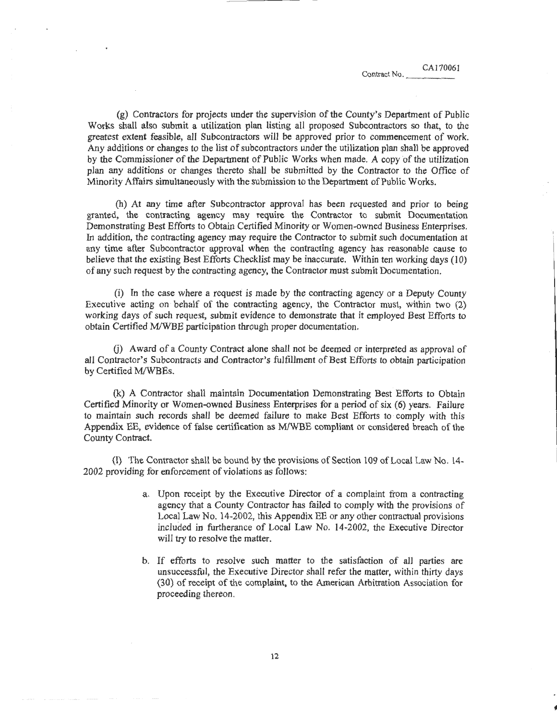I

(g) Contractors for projects under the supervision of the County's Department of Public Works shall also submit a utilization plan listing all proposed Subcontractors so that, to the greatest extent feasible, all Subcontractors will be approved prior to commencement of work. Any additions or changes to the list of subcontractors under the utilization plan shall be approved by the Commissioner ofthe Department of Public Works when made. *A* copyofthe utilization plan any additions or changes thereto shall be submitted by the Contractor to the Office of Minority Affairs simultaneously with the submission to the Department of Public Works.

(h) At any time after Subcontractor approval has been requested and prior to being granted, the contracting agency may require the Contractor to submit Documentation Demonstrating Best Efforts to Obtain Certified Minority or Women-owned Business Enterprises. In addition, the contracting agency may require the Contractor to submit such documentation at any time after Subcontractor approval when the contracting agency has reasonable cause to believe that the existing Best Efforts Checklist may be inaccurate. Within ten working days (10) of any such request by the contracting agency, the Contractor must submit Documentation.

(i) In the case where a request is made by the contracting agency or a Deputy County Executive acting on behalf of the contracting agency, the Contractor must, within two (2) working days of such request, submit evidence to demonstrate that it employed Best Efforts to obtain Certified MIWBE participation through proper documentation.

G) Award of a County Contract alone shall not be deemed or interpreted as approval of all Contractor's Subcontracts and Contractor's fulfillment of Best Efforts to obtain participation by Certified M/WBEs.

(k) A Contractor shall maintain Documentation Demonstrating Best Efforts to Obtain Certified Minority or Women-owned Business Enterprises for a period of six (6) years. Failure to maintain such records shall be deemed failure to make Best Efforts to comply with this Appendix EE, evidence of false certification as M/WBE compliant or considered breach of the County Contract.

(1) The Contractor shall be bound by the provisions of Section 109 ofLocal Law No. 14- 2002 providing for enforcement of violations as follows:

- a. Upon receipt by the Executive Director of a complaint from a contracting agency that a County Contractor has failed to comply with the provisions of Local Law No. 14-2002, this Appendix EE or any other contractual provisions included in furtherance of Local Law No. 14-2002, the Executive Director will try to resolve the matter.
- b. If efforts to resolve such matter to the satisfaction of all parties are unsuccessful, the Executive Director shall refer the matter, within thirty days (30) of receipt of the complaint, to the American Arbitration Association for proceeding thereon.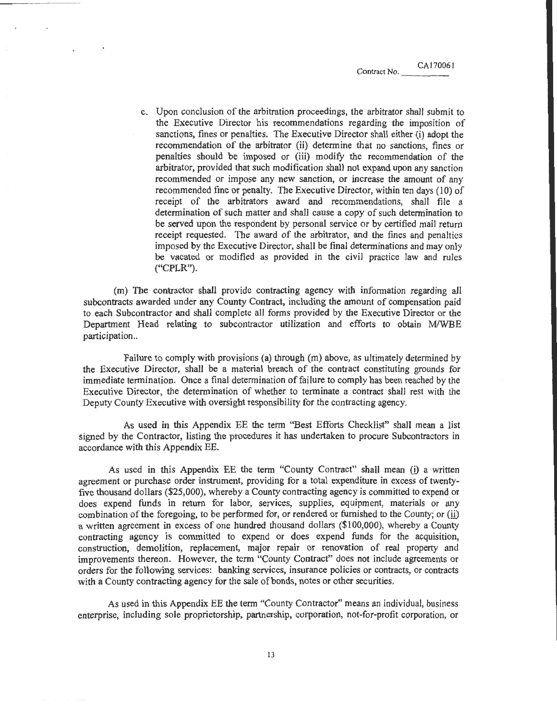c. Upon conclusion of the arbitration proceedings, the arbitrator shall submit to the Executive Director his recommendations regarding the imposition of sanctions, fines or penalties. The Executive Director shall either (i) adopt the recommendation of the arbitrator (ii) determine that no sanctions, fines or penalties should be imposed or (iii) modify the recommendation of the arbitrator, provided that such modification shall not expand upon any sanction recommended or impose any new sanction, or increase the amount of any recommended fine or penalty. The Executive Director, within ten days (10) of receipt of the arbitrators award and recommendations, shall file a determination of such matter and shall cause a copy of such determination to be served upon the respondent by personal service or by certified mail return receipt requested. The award of the arbitrator, and the fines and penalties imposed by the Executive Director, shall be final determinations and may only be vacated or modified as provided in the civil practice law and rules ("CPLR"). .

(m) The contractor shall provide contracting agency with information regarding aJI subcontracts awarded under any County Contract, including the amount of compensation paid to each Subcontractor and shall complete all forms provided by the Executive Director or the Department Head relating to subcontractor utilization and efforts to obtain M/WBE participation..

Failure to comply with provisions (a) through (m) above, as ultimately determined by the Executive Director, shall be a material breach of the contract constituting grounds for immediate termination. Once a final determination of failure to comply has been reached by the Executive Director, the determination of whether to terminate a contract shall rest with the Deputy County Executive with oversight responsibility for the contracting agency.

As used in this Appendix EE the term "Best Efforts Checklist" shall mean a list signed by the Contractor, listing the procedures it has undertaken to procure Subcontractors in accordance with this Appendix BE.

As used in this Appendix EE the term "County Contract" shall mean (i) a written agreement or purchase order instrument, providing for a total expenditure in excess of twentyfive thousand dollars (\$25,000), whereby a County contracting agency is committed to expend or does expend funds in return for labor, services, supplies, equipment, materials or any combination of the foregoing, to be performed for, or rendered or furnished to the County; or (ii) a written agreement in excess of one hundred thousand dollars (\$100,000), whereby a County contracting agency is committed to expend or does expend funds for the acquisition, construction, demolition, replacement, major repair or renovation of real property and improvements thereon. However, the term "County Contract" does not include agreements or orders for the following services: banking services, insurance policies or contracts, or contracts with a County contracting agency for the sale of bonds, notes or other securities.

As used in this Appendix EE the tenn "County Contractor" means an individual, business enterprise, including sole proprietorship, partnership, corporation, not-for-profit corporation, or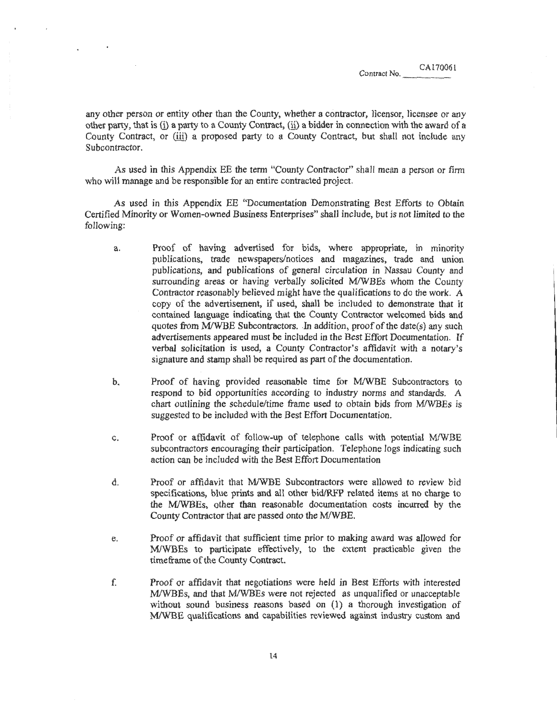any other person or entity other than the County, whether a contractor, licensor, licensee or any other party, that is (i) a party to a County Contract, (ill a bidder in connection with the award of a County Contract, or (iii) a proposed party to a County Contract, but shall not include any Subcontractor.

As used in this Appendix EE the term "County Contractor" shall mean a person or firm who will manage and be responsible for an entire contracted project.

As used in this Appendix EE "Documentation Demonstrating Best Efforts to Obtain Certified Minority or Women-owned Business Enterprises" shall include, but is not limited to the following:

- a. Proof of having advertised for bids, where appropriate, in minority publications, trade newspapers/notices and magazines, trade and union publications, and publications of general circulation in Nassau County and surrounding areas or having verbally solicited M/WBEs whom the County Contractor reasonably believed might have the qualifications to do the work. A copy of the advertisement, if used, shall be included to demonstrate that it contained language indicating that the County Contractor welcomed bids and quotes from M/WBE Subcontractors. In addition, proof of the date(s) any such advertisements appeared must be included in the Best Effort Documentation. If verbal solicitation is used, a County Contractor's affidavit with a notary's signature and stamp shall be required as part of the documentation.
- b. Proof of having provided reasonable time for MIWBE Subcontractors to respond to bid opportunities according to industry norms and standards. A chart outlining the schedule/time frame used to obtain bids from M/WBEs is suggested to be included with the Best Effort Documentation.
- c. Proof or affidavit of follow-up of telephone calls with potential M/WBE subcontractors encouraging their participation. Telephone logs indicating such action can be included with the Best Effort Documentation
- d. Proof or affidavit that MIWBE Subcontractors were allowed to review bid specifications, blue prints and all other bid/RFP related items at no charge to the MIWBEs, other than reasonable documentation costs incurred by the County Contractor that are passed onto the M/WBE.
- e. Proof or affidavit that sufficient time prior to making award was allowed for M/WBEs to participate effectively, to the extent practicable given the time frame of the County Contract.
- f Proof or affidavit that negotiations were held in Best Efforts with interested MIWBEs, and that MIWBEs were not rejected as unqualified or unacceptable without sound business reasons based on (1) a thorough investigation of MIWBE qualifications and capabilities reviewed against industry custom and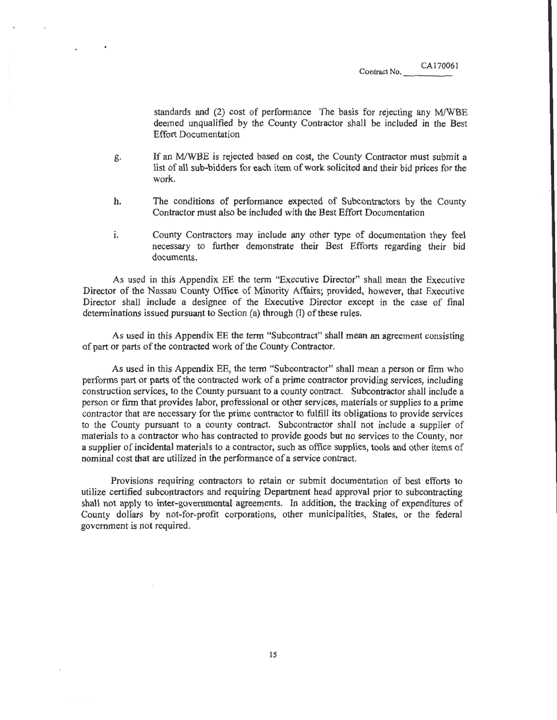CA170061

standards and (2) cost of performance The basis for rejecting any M/WBE deemed unqualified by the County Contractor shall be included in the Best Effort Documentation

- g. If an M/WBE is rejected based on cost, the County Contractor must submit a list of all sub-bidders for each item of work solicited and their bid prices for the work.
- h. The conditions of performance expected of Subcontractors by the County Contractor must also be included with the Best Effort Documentation
- i. County Contractors may include any other type of documentation they feel necessary to further demonstrate their Best Efforts regarding their bid documents.

As used in this Appendix EE the term "Executive Director" shall mean the Executive Director of the Nassau County Office of Minority Affairs; provided, however, that Executive Director shall include a designee of the Executive Director except in the case of final determinations issued pursuant to Section (a) through (I) of these rules.

As used in this Appendix EE the term "Subcontract" shall mean an agreement consisting of part or parts of the contracted work of the County Contractor.

As used in this Appendix EE, the term "Subcontractor" shall mean a person or firm who performs part or parts of the contracted work of a prime contractor providing services, including construction services, to the County pursuant to a county contract. Subcontractor shall include a person or fmn that provides labor, professional or other services, materials or supplies to a prime contractor that are necessary for the prime contractor to fulfill its obligations to provide services to the County pursuant to a county contract. Subcontractor shall not include a supplier of materials to a contractor who has contracted to provide goods but no services to the County, nor a supplier of incidental materials to a contractor, such as office supplies, tools and other items of nominal cost that are utilized in the performance of a service contract.

Provisions requiring contractors to retain or submit documentation of best efforts to utilize certified subcontractors and requiring Department head approval prior to subcontracting shall not apply to inter-governmental agreements. · In addition, the tracking of expenditures of County dolfars by not-for-profit corporations, other municipalities, States, or the federal government is not required.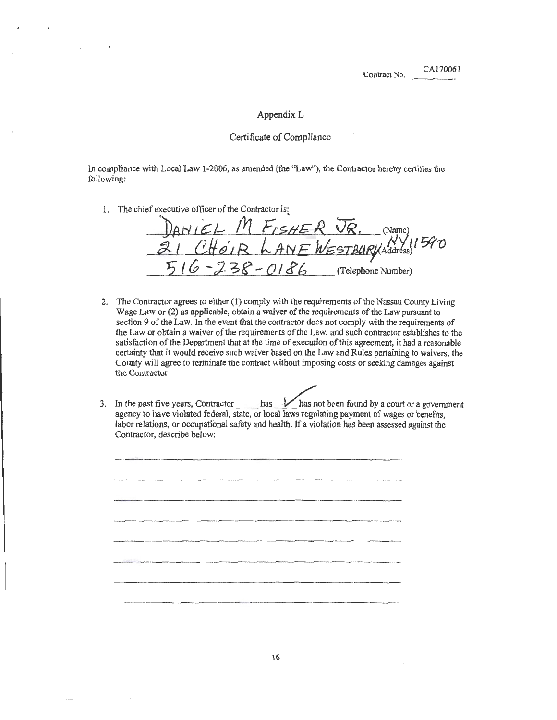### AppendixL

## Certificate of Compliance

In compliance with Local Law 1-2006, as amended (the "Law"), the Contractor hereby certifies the following:

1. The chief executive officer of the Contractor is:

DANIEL M FISHER JR. (Name)  $2! \;$   $C$ HOIR LANE WESTBURJANDESS!  $970$ 5 1 6 - 2 3 8 - 0 1 8 6 (Telephone Number)

- 2. The Contractor agrees to either (1) comply with the requirements of the Nassau County Living Wage Law or {2) as applicable, obtain a waiver of the requirements of the Law pursuant to section 9 of the Law. In the event that the contractor does not comply with the requirements of the Law or obtain a waiver of the requirements of the Law, and such contractor establishes to the satisfaction of the Department that at the time of execution of this agreement, it had a reasonable certainty that it would receive such waiver based on the Law and Rules pertaining to waivers, the County will agree to terminate the contract without imposing costs or seeking damages against the Contractor
- 3. In the past five years, Contractor has  $\frac{1}{2}$  has not been found by a court or a government agency to have violated federal, state, or local laws regulating payment of wages or benefits, labor relations, or occupational safety and health. If a violation has been assessed against the Contractor, describe below: